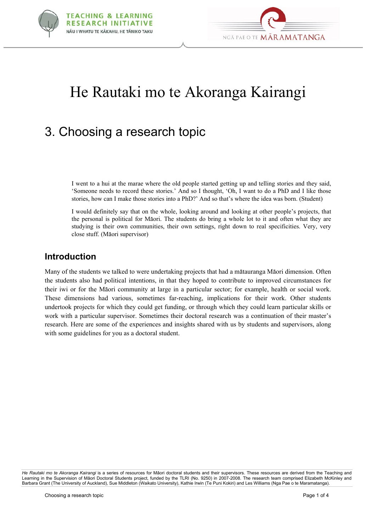



# He Rautaki mo te Akoranga Kairangi

# 3. Choosing a research topic

I went to a hui at the marae where the old people started getting up and telling stories and they said, 'Someone needs to record these stories.' And so I thought, 'Oh, I want to do a PhD and I like those stories, how can I make those stories into a PhD?' And so that's where the idea was born. (Student)

I would definitely say that on the whole, looking around and looking at other people's projects, that the personal is political for Mäori. The students do bring a whole lot to it and often what they are studying is their own communities, their own settings, right down to real specificities. Very, very close stuff. (Mäori supervisor)

# **Introduction**

Many of the students we talked to were undertaking projects that had a mätauranga Mäori dimension. Often the students also had political intentions, in that they hoped to contribute to improved circumstances for their iwi or for the Mäori community at large in a particular sector; for example, health or social work. These dimensions had various, sometimes far-reaching, implications for their work. Other students undertook projects for which they could get funding, or through which they could learn particular skills or work with a particular supervisor. Sometimes their doctoral research was a continuation of their master's research. Here are some of the experiences and insights shared with us by students and supervisors, along with some guidelines for you as a doctoral student.

*He Rautaki mo te Akoranga Kairangi* is a series of resources for Mäori doctoral students and their supervisors. These resources are derived from the Teaching and Learning in the Supervision of Mäori Doctoral Students project, funded by the TLRI (No. 9250) in 2007-2008. The research team comprised Elizabeth McKinley and Barbara Grant (The University of Auckland), Sue Middleton (Waikato University), Kathie Irwin (Te Puni Kokiri) and Les Williams (Nga Pae o te Maramatanga).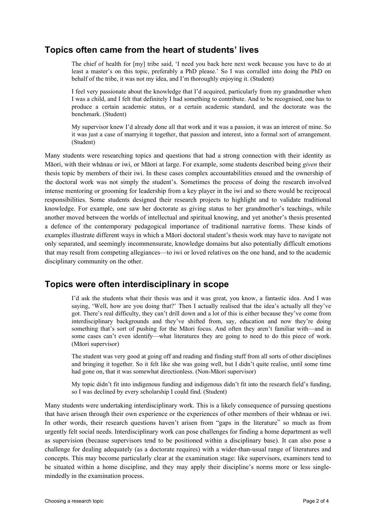# **Topics often came from the heart of students' lives**

The chief of health for [my] tribe said, 'I need you back here next week because you have to do at least a master's on this topic, preferably a PhD please.' So I was corralled into doing the PhD on behalf of the tribe, it was not my idea, and I'm thoroughly enjoying it. (Student)

I feel very passionate about the knowledge that I'd acquired, particularly from my grandmother when I was a child, and I felt that definitely I had something to contribute. And to be recognised, one has to produce a certain academic status, or a certain academic standard, and the doctorate was the benchmark. (Student)

My supervisor knew I'd already done all that work and it was a passion, it was an interest of mine. So it was just a case of marrying it together, that passion and interest, into a formal sort of arrangement. (Student)

Many students were researching topics and questions that had a strong connection with their identity as Mäori, with their whänau or iwi, or Mäori at large. For example, some students described being *given* their thesis topic by members of their iwi. In these cases complex accountabilities ensued and the ownership of the doctoral work was not simply the student's. Sometimes the process of doing the research involved intense mentoring or grooming for leadership from a key player in the iwi and so there would be reciprocal responsibilities. Some students designed their research projects to highlight and to validate traditional knowledge. For example, one saw her doctorate as giving status to her grandmother's teachings, while another moved between the worlds of intellectual and spiritual knowing, and yet another's thesis presented a defence of the contemporary pedagogical importance of traditional narrative forms. These kinds of examples illustrate different ways in which a Mäori doctoral student's thesis work may have to navigate not only separated, and seemingly incommensurate, knowledge domains but also potentially difficult emotions that may result from competing allegiances—to iwi or loved relatives on the one hand, and to the academic disciplinary community on the other.

# **Topics were often interdisciplinary in scope**

I'd ask the students what their thesis was and it was great, you know, a fantastic idea. And I was saying, 'Well, how are you doing that?' Then I actually realised that the idea's actually all they've got. There's real difficulty, they can't drill down and a lot of this is either because they've come from interdisciplinary backgrounds and they've shifted from, say, education and now they're doing something that's sort of pushing for the Mäori focus. And often they aren't familiar with—and in some cases can't even identify—what literatures they are going to need to do this piece of work. (Mäori supervisor)

The student was very good at going off and reading and finding stuff from all sorts of other disciplines and bringing it together. So it felt like she was going well, but I didn't quite realise, until some time had gone on, that it was somewhat directionless. (Non-Mäori supervisor)

My topic didn't fit into indigenous funding and indigenous didn't fit into the research field's funding, so I was declined by every scholarship I could find. (Student)

Many students were undertaking interdisciplinary work. This is a likely consequence of pursuing questions that have arisen through their own experience or the experiences of other members of their whänau or iwi. In other words, their research questions haven't arisen from "gaps in the literature" so much as from urgently felt social needs. Interdisciplinary work can pose challenges for finding a home department as well as supervision (because supervisors tend to be positioned within a disciplinary base). It can also pose a challenge for dealing adequately (as a doctorate requires) with a wider-than-usual range of literatures and concepts. This may become particularly clear at the examination stage: like supervisors, examiners tend to be situated within a home discipline, and they may apply their discipline's norms more or less singlemindedly in the examination process.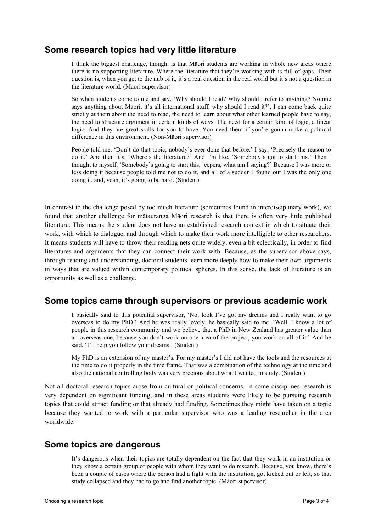## **Some research topics had very little literature**

I think the biggest challenge, though, is that Mäori students are working in whole new areas where there is no supporting literature. Where the literature that they're working with is full of gaps. Their question is, when you get to the nub of it, it's a real question in the real world but it's not a question in the literature world. (Mäori supervisor)

So when students come to me and say, 'Why should I read? Why should I refer to anything? No one says anything about Mäori, it's all international stuff, why should I read it?', I can come back quite strictly at them about the need to read, the need to learn about what other learned people have to say, the need to structure argument in certain kinds of ways. The need for a certain kind of logic, a linear logic. And they are great skills for you to have. You need them if you're gonna make a political difference in this environment. (Non-Mäori supervisor)

People told me, 'Don't do that topic, nobody's ever done that before.' I say, 'Precisely the reason to do it.' And then it's, 'Where's the literature?' And I'm like, 'Somebody's got to start this.' Then I thought to myself, 'Somebody's going to start this, jeepers, what am I saying?' Because I was more or less doing it because people told me not to do it, and all of a sudden I found out I was the only one doing it, and, yeah, it's going to be hard. (Student)

In contrast to the challenge posed by too much literature (sometimes found in interdisciplinary work), we found that another challenge for mätauranga Mäori research is that there is often very little published literature. This means the student does not have an established research context in which to situate their work, with which to dialogue, and through which to make their work more intelligible to other researchers. It means students will have to throw their reading nets quite widely, even a bit eclectically, in order to find literatures and arguments that they can connect their work with. Because, as the supervisor above says, through reading and understanding, doctoral students learn more deeply how to make their own arguments in ways that are valued within contemporary political spheres. In this sense, the lack of literature is an opportunity as well as a challenge.

## **Some topics came through supervisors or previous academic work**

I basically said to this potential supervisor, 'No, look I've got my dreams and I really want to go overseas to do my PhD.' And he was really lovely, he basically said to me, 'Well, I know a lot of people in this research community and we believe that a PhD in New Zealand has greater value than an overseas one, because you don't work on one area of the project, you work on all of it.' And he said, 'I'll help you follow your dreams.' (Student)

My PhD is an extension of my master's. For my master's I did not have the tools and the resources at the time to do it properly in the time frame. That was a combination of the technology at the time and also the national controlling body was very precious about what I wanted to study. (Student)

Not all doctoral research topics arose from cultural or political concerns. In some disciplines research is very dependent on significant funding, and in these areas students were likely to be pursuing research topics that could attract funding or that already had funding. Sometimes they might have taken on a topic because they wanted to work with a particular supervisor who was a leading researcher in the area worldwide.

## **Some topics are dangerous**

It's dangerous when their topics are totally dependent on the fact that they work in an institution or they know a certain group of people with whom they want to do research. Because, you know, there's been a couple of cases where the person had a fight with the institution, got kicked out or left, so that study collapsed and they had to go and find another topic. (Mäori supervisor)